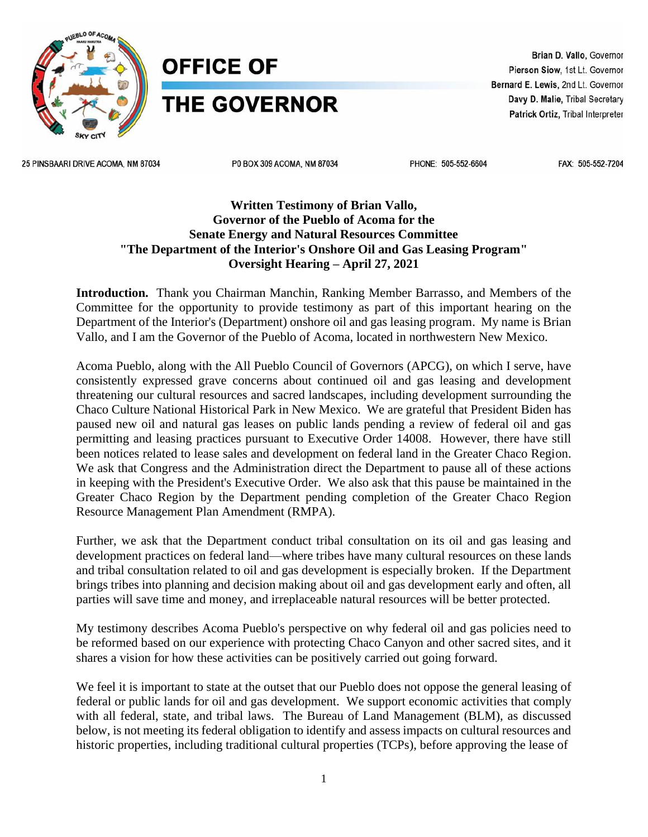



Brian D. Vallo, Governor Pierson Siow, 1st Lt. Governor Bernard E. Lewis, 2nd Lt. Governor Davy D. Malie, Tribal Secretary Patrick Ortiz, Tribal Interpreter

25 PINSBAARI DRIVE ACOMA, NM 87034

P0 BOX 309 ACOMA, NM 87034

PHONE: 505-552-6604

FAX: 505-552-7204

### **Written Testimony of Brian Vallo, Governor of the Pueblo of Acoma for the Senate Energy and Natural Resources Committee "The Department of the Interior's Onshore Oil and Gas Leasing Program" Oversight Hearing – April 27, 2021**

**Introduction.** Thank you Chairman Manchin, Ranking Member Barrasso, and Members of the Committee for the opportunity to provide testimony as part of this important hearing on the Department of the Interior's (Department) onshore oil and gas leasing program. My name is Brian Vallo, and I am the Governor of the Pueblo of Acoma, located in northwestern New Mexico.

Acoma Pueblo, along with the All Pueblo Council of Governors (APCG), on which I serve, have consistently expressed grave concerns about continued oil and gas leasing and development threatening our cultural resources and sacred landscapes, including development surrounding the Chaco Culture National Historical Park in New Mexico. We are grateful that President Biden has paused new oil and natural gas leases on public lands pending a review of federal oil and gas permitting and leasing practices pursuant to Executive Order 14008. However, there have still been notices related to lease sales and development on federal land in the Greater Chaco Region. We ask that Congress and the Administration direct the Department to pause all of these actions in keeping with the President's Executive Order. We also ask that this pause be maintained in the Greater Chaco Region by the Department pending completion of the Greater Chaco Region Resource Management Plan Amendment (RMPA).

Further, we ask that the Department conduct tribal consultation on its oil and gas leasing and development practices on federal land—where tribes have many cultural resources on these lands and tribal consultation related to oil and gas development is especially broken. If the Department brings tribes into planning and decision making about oil and gas development early and often, all parties will save time and money, and irreplaceable natural resources will be better protected.

My testimony describes Acoma Pueblo's perspective on why federal oil and gas policies need to be reformed based on our experience with protecting Chaco Canyon and other sacred sites, and it shares a vision for how these activities can be positively carried out going forward.

We feel it is important to state at the outset that our Pueblo does not oppose the general leasing of federal or public lands for oil and gas development. We support economic activities that comply with all federal, state, and tribal laws. The Bureau of Land Management (BLM), as discussed below, is not meeting its federal obligation to identify and assess impacts on cultural resources and historic properties, including traditional cultural properties (TCPs), before approving the lease of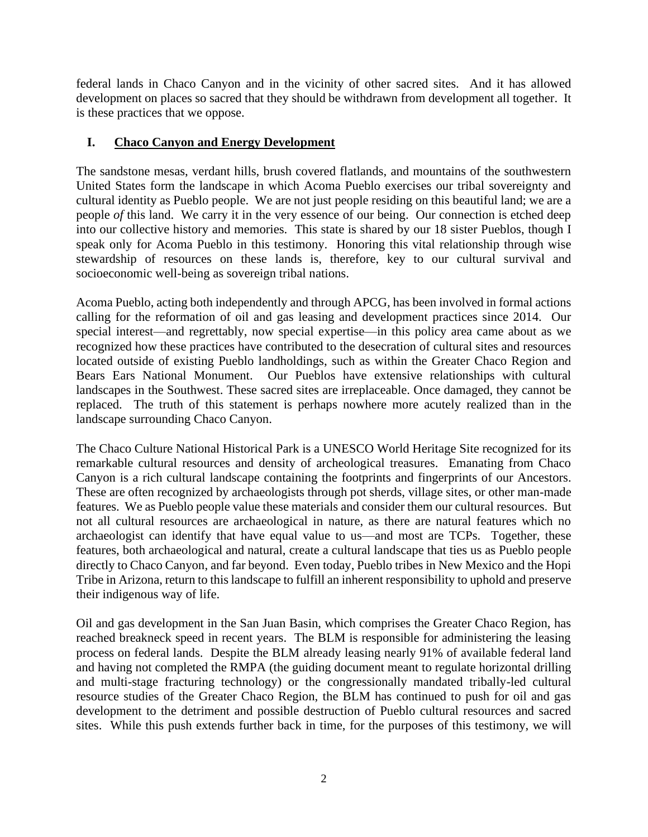federal lands in Chaco Canyon and in the vicinity of other sacred sites. And it has allowed development on places so sacred that they should be withdrawn from development all together. It is these practices that we oppose.

## **I. Chaco Canyon and Energy Development**

The sandstone mesas, verdant hills, brush covered flatlands, and mountains of the southwestern United States form the landscape in which Acoma Pueblo exercises our tribal sovereignty and cultural identity as Pueblo people. We are not just people residing on this beautiful land; we are a people *of* this land. We carry it in the very essence of our being. Our connection is etched deep into our collective history and memories. This state is shared by our 18 sister Pueblos, though I speak only for Acoma Pueblo in this testimony. Honoring this vital relationship through wise stewardship of resources on these lands is, therefore, key to our cultural survival and socioeconomic well-being as sovereign tribal nations.

Acoma Pueblo, acting both independently and through APCG, has been involved in formal actions calling for the reformation of oil and gas leasing and development practices since 2014. Our special interest—and regrettably, now special expertise—in this policy area came about as we recognized how these practices have contributed to the desecration of cultural sites and resources located outside of existing Pueblo landholdings, such as within the Greater Chaco Region and Bears Ears National Monument. Our Pueblos have extensive relationships with cultural landscapes in the Southwest. These sacred sites are irreplaceable. Once damaged, they cannot be replaced. The truth of this statement is perhaps nowhere more acutely realized than in the landscape surrounding Chaco Canyon.

The Chaco Culture National Historical Park is a UNESCO World Heritage Site recognized for its remarkable cultural resources and density of archeological treasures. Emanating from Chaco Canyon is a rich cultural landscape containing the footprints and fingerprints of our Ancestors. These are often recognized by archaeologists through pot sherds, village sites, or other man-made features. We as Pueblo people value these materials and consider them our cultural resources. But not all cultural resources are archaeological in nature, as there are natural features which no archaeologist can identify that have equal value to us—and most are TCPs. Together, these features, both archaeological and natural, create a cultural landscape that ties us as Pueblo people directly to Chaco Canyon, and far beyond. Even today, Pueblo tribes in New Mexico and the Hopi Tribe in Arizona, return to this landscape to fulfill an inherent responsibility to uphold and preserve their indigenous way of life.

Oil and gas development in the San Juan Basin, which comprises the Greater Chaco Region, has reached breakneck speed in recent years. The BLM is responsible for administering the leasing process on federal lands. Despite the BLM already leasing nearly 91% of available federal land and having not completed the RMPA (the guiding document meant to regulate horizontal drilling and multi-stage fracturing technology) or the congressionally mandated tribally-led cultural resource studies of the Greater Chaco Region, the BLM has continued to push for oil and gas development to the detriment and possible destruction of Pueblo cultural resources and sacred sites. While this push extends further back in time, for the purposes of this testimony, we will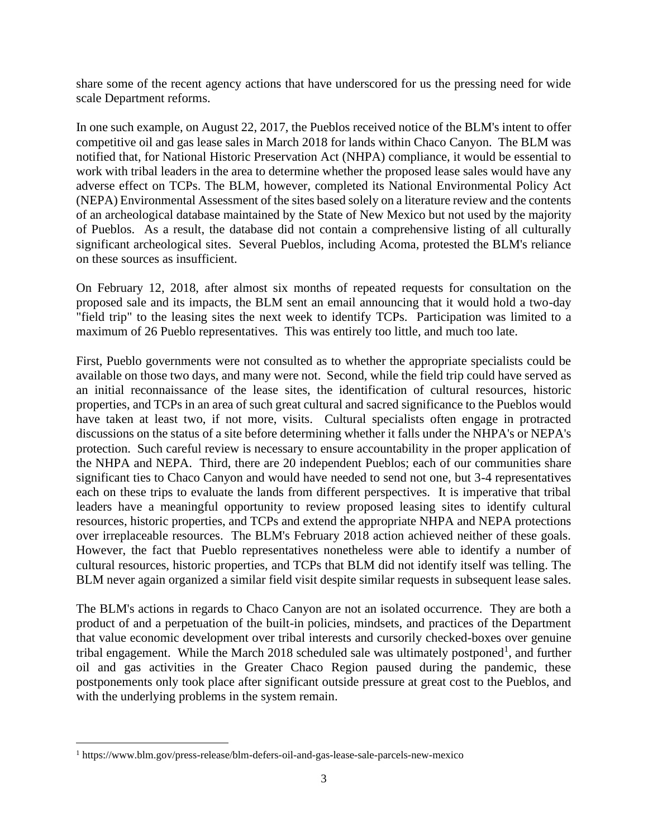share some of the recent agency actions that have underscored for us the pressing need for wide scale Department reforms.

In one such example, on August 22, 2017, the Pueblos received notice of the BLM's intent to offer competitive oil and gas lease sales in March 2018 for lands within Chaco Canyon. The BLM was notified that, for National Historic Preservation Act (NHPA) compliance, it would be essential to work with tribal leaders in the area to determine whether the proposed lease sales would have any adverse effect on TCPs. The BLM, however, completed its National Environmental Policy Act (NEPA) Environmental Assessment of the sites based solely on a literature review and the contents of an archeological database maintained by the State of New Mexico but not used by the majority of Pueblos. As a result, the database did not contain a comprehensive listing of all culturally significant archeological sites. Several Pueblos, including Acoma, protested the BLM's reliance on these sources as insufficient.

On February 12, 2018, after almost six months of repeated requests for consultation on the proposed sale and its impacts, the BLM sent an email announcing that it would hold a two-day "field trip" to the leasing sites the next week to identify TCPs. Participation was limited to a maximum of 26 Pueblo representatives. This was entirely too little, and much too late.

First, Pueblo governments were not consulted as to whether the appropriate specialists could be available on those two days, and many were not. Second, while the field trip could have served as an initial reconnaissance of the lease sites, the identification of cultural resources, historic properties, and TCPs in an area of such great cultural and sacred significance to the Pueblos would have taken at least two, if not more, visits. Cultural specialists often engage in protracted discussions on the status of a site before determining whether it falls under the NHPA's or NEPA's protection. Such careful review is necessary to ensure accountability in the proper application of the NHPA and NEPA. Third, there are 20 independent Pueblos; each of our communities share significant ties to Chaco Canyon and would have needed to send not one, but 3-4 representatives each on these trips to evaluate the lands from different perspectives. It is imperative that tribal leaders have a meaningful opportunity to review proposed leasing sites to identify cultural resources, historic properties, and TCPs and extend the appropriate NHPA and NEPA protections over irreplaceable resources. The BLM's February 2018 action achieved neither of these goals. However, the fact that Pueblo representatives nonetheless were able to identify a number of cultural resources, historic properties, and TCPs that BLM did not identify itself was telling. The BLM never again organized a similar field visit despite similar requests in subsequent lease sales.

The BLM's actions in regards to Chaco Canyon are not an isolated occurrence. They are both a product of and a perpetuation of the built-in policies, mindsets, and practices of the Department that value economic development over tribal interests and cursorily checked-boxes over genuine tribal engagement. While the March 2018 scheduled sale was ultimately postponed<sup>1</sup>, and further oil and gas activities in the Greater Chaco Region paused during the pandemic, these postponements only took place after significant outside pressure at great cost to the Pueblos, and with the underlying problems in the system remain.

<sup>1</sup> https://www.blm.gov/press-release/blm-defers-oil-and-gas-lease-sale-parcels-new-mexico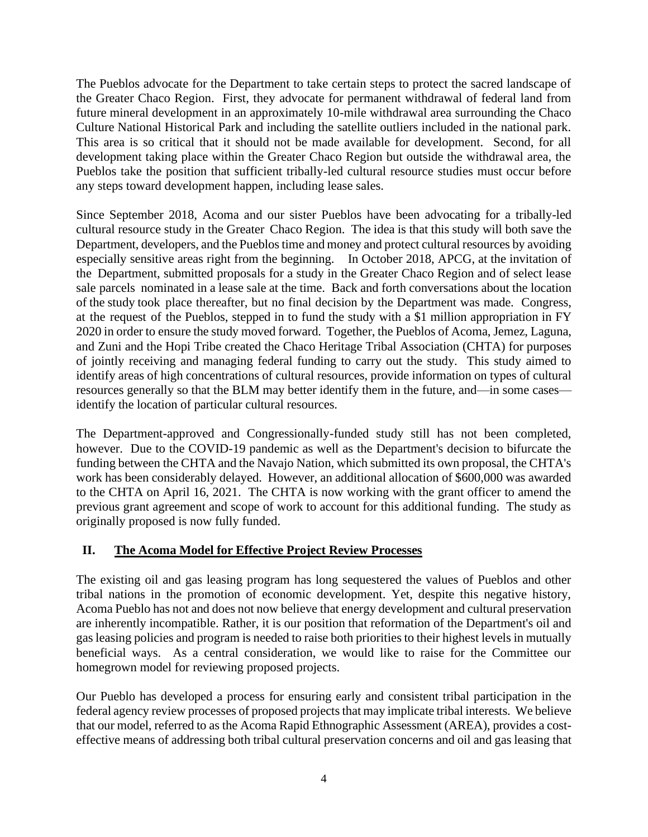The Pueblos advocate for the Department to take certain steps to protect the sacred landscape of the Greater Chaco Region. First, they advocate for permanent withdrawal of federal land from future mineral development in an approximately 10-mile withdrawal area surrounding the Chaco Culture National Historical Park and including the satellite outliers included in the national park. This area is so critical that it should not be made available for development. Second, for all development taking place within the Greater Chaco Region but outside the withdrawal area, the Pueblos take the position that sufficient tribally-led cultural resource studies must occur before any steps toward development happen, including lease sales.

Since September 2018, Acoma and our sister Pueblos have been advocating for a tribally-led cultural resource study in the Greater Chaco Region. The idea is that this study will both save the Department, developers, and the Pueblos time and money and protect cultural resources by avoiding especially sensitive areas right from the beginning. In October 2018, APCG, at the invitation of the Department, submitted proposals for a study in the Greater Chaco Region and of select lease sale parcels nominated in a lease sale at the time. Back and forth conversations about the location of the study took place thereafter, but no final decision by the Department was made. Congress, at the request of the Pueblos, stepped in to fund the study with a \$1 million appropriation in FY 2020 in order to ensure the study moved forward. Together, the Pueblos of Acoma, Jemez, Laguna, and Zuni and the Hopi Tribe created the Chaco Heritage Tribal Association (CHTA) for purposes of jointly receiving and managing federal funding to carry out the study. This study aimed to identify areas of high concentrations of cultural resources, provide information on types of cultural resources generally so that the BLM may better identify them in the future, and—in some cases identify the location of particular cultural resources.

The Department-approved and Congressionally-funded study still has not been completed, however. Due to the COVID-19 pandemic as well as the Department's decision to bifurcate the funding between the CHTA and the Navajo Nation, which submitted its own proposal, the CHTA's work has been considerably delayed. However, an additional allocation of \$600,000 was awarded to the CHTA on April 16, 2021. The CHTA is now working with the grant officer to amend the previous grant agreement and scope of work to account for this additional funding. The study as originally proposed is now fully funded.

# **II. The Acoma Model for Effective Project Review Processes**

The existing oil and gas leasing program has long sequestered the values of Pueblos and other tribal nations in the promotion of economic development. Yet, despite this negative history, Acoma Pueblo has not and does not now believe that energy development and cultural preservation are inherently incompatible. Rather, it is our position that reformation of the Department's oil and gas leasing policies and program is needed to raise both priorities to their highest levels in mutually beneficial ways. As a central consideration, we would like to raise for the Committee our homegrown model for reviewing proposed projects.

Our Pueblo has developed a process for ensuring early and consistent tribal participation in the federal agency review processes of proposed projects that may implicate tribal interests. We believe that our model, referred to as the Acoma Rapid Ethnographic Assessment (AREA), provides a costeffective means of addressing both tribal cultural preservation concerns and oil and gas leasing that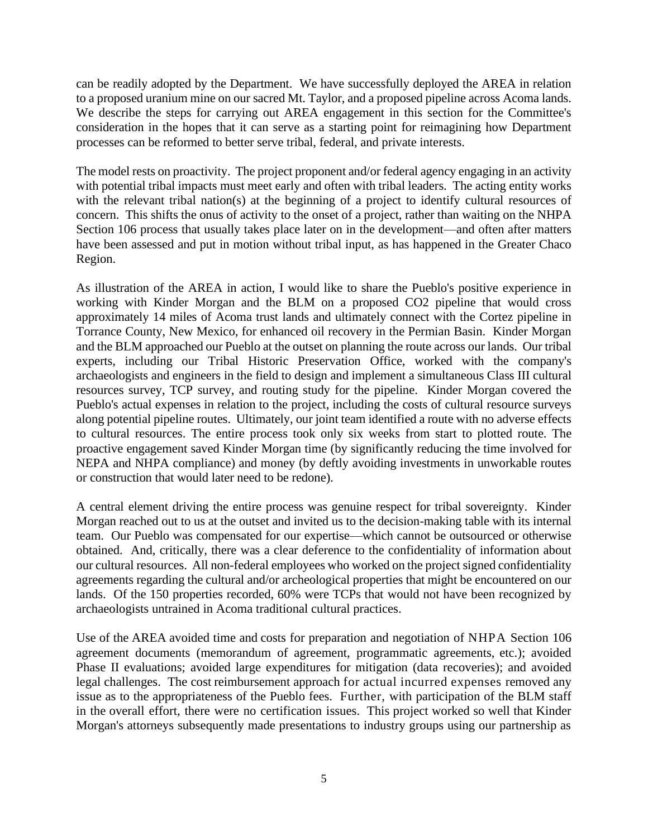can be readily adopted by the Department. We have successfully deployed the AREA in relation to a proposed uranium mine on our sacred Mt. Taylor, and a proposed pipeline across Acoma lands. We describe the steps for carrying out AREA engagement in this section for the Committee's consideration in the hopes that it can serve as a starting point for reimagining how Department processes can be reformed to better serve tribal, federal, and private interests.

The model rests on proactivity. The project proponent and/or federal agency engaging in an activity with potential tribal impacts must meet early and often with tribal leaders. The acting entity works with the relevant tribal nation(s) at the beginning of a project to identify cultural resources of concern. This shifts the onus of activity to the onset of a project, rather than waiting on the NHPA Section 106 process that usually takes place later on in the development—and often after matters have been assessed and put in motion without tribal input, as has happened in the Greater Chaco Region.

As illustration of the AREA in action, I would like to share the Pueblo's positive experience in working with Kinder Morgan and the BLM on a proposed CO2 pipeline that would cross approximately 14 miles of Acoma trust lands and ultimately connect with the Cortez pipeline in Torrance County, New Mexico, for enhanced oil recovery in the Permian Basin. Kinder Morgan and the BLM approached our Pueblo at the outset on planning the route across our lands. Our tribal experts, including our Tribal Historic Preservation Office, worked with the company's archaeologists and engineers in the field to design and implement a simultaneous Class III cultural resources survey, TCP survey, and routing study for the pipeline. Kinder Morgan covered the Pueblo's actual expenses in relation to the project, including the costs of cultural resource surveys along potential pipeline routes. Ultimately, our joint team identified a route with no adverse effects to cultural resources. The entire process took only six weeks from start to plotted route. The proactive engagement saved Kinder Morgan time (by significantly reducing the time involved for NEPA and NHPA compliance) and money (by deftly avoiding investments in unworkable routes or construction that would later need to be redone).

A central element driving the entire process was genuine respect for tribal sovereignty. Kinder Morgan reached out to us at the outset and invited us to the decision-making table with its internal team. Our Pueblo was compensated for our expertise—which cannot be outsourced or otherwise obtained. And, critically, there was a clear deference to the confidentiality of information about our cultural resources. All non-federal employees who worked on the project signed confidentiality agreements regarding the cultural and/or archeological properties that might be encountered on our lands. Of the 150 properties recorded, 60% were TCPs that would not have been recognized by archaeologists untrained in Acoma traditional cultural practices.

Use of the AREA avoided time and costs for preparation and negotiation of NHPA Section 106 agreement documents (memorandum of agreement, programmatic agreements, etc.); avoided Phase II evaluations; avoided large expenditures for mitigation (data recoveries); and avoided legal challenges. The cost reimbursement approach for actual incurred expenses removed any issue as to the appropriateness of the Pueblo fees. Further, with participation of the BLM staff in the overall effort, there were no certification issues. This project worked so well that Kinder Morgan's attorneys subsequently made presentations to industry groups using our partnership as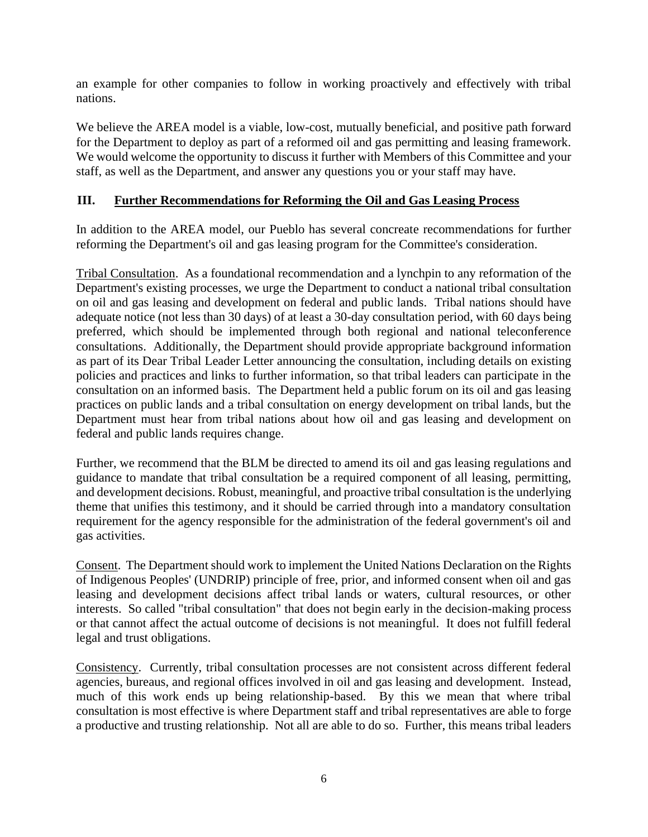an example for other companies to follow in working proactively and effectively with tribal nations.

We believe the AREA model is a viable, low-cost, mutually beneficial, and positive path forward for the Department to deploy as part of a reformed oil and gas permitting and leasing framework. We would welcome the opportunity to discuss it further with Members of this Committee and your staff, as well as the Department, and answer any questions you or your staff may have.

## **III. Further Recommendations for Reforming the Oil and Gas Leasing Process**

In addition to the AREA model, our Pueblo has several concreate recommendations for further reforming the Department's oil and gas leasing program for the Committee's consideration.

Tribal Consultation. As a foundational recommendation and a lynchpin to any reformation of the Department's existing processes, we urge the Department to conduct a national tribal consultation on oil and gas leasing and development on federal and public lands. Tribal nations should have adequate notice (not less than 30 days) of at least a 30-day consultation period, with 60 days being preferred, which should be implemented through both regional and national teleconference consultations. Additionally, the Department should provide appropriate background information as part of its Dear Tribal Leader Letter announcing the consultation, including details on existing policies and practices and links to further information, so that tribal leaders can participate in the consultation on an informed basis. The Department held a public forum on its oil and gas leasing practices on public lands and a tribal consultation on energy development on tribal lands, but the Department must hear from tribal nations about how oil and gas leasing and development on federal and public lands requires change.

Further, we recommend that the BLM be directed to amend its oil and gas leasing regulations and guidance to mandate that tribal consultation be a required component of all leasing, permitting, and development decisions. Robust, meaningful, and proactive tribal consultation is the underlying theme that unifies this testimony, and it should be carried through into a mandatory consultation requirement for the agency responsible for the administration of the federal government's oil and gas activities.

Consent. The Department should work to implement the United Nations Declaration on the Rights of Indigenous Peoples' (UNDRIP) principle of free, prior, and informed consent when oil and gas leasing and development decisions affect tribal lands or waters, cultural resources, or other interests. So called "tribal consultation" that does not begin early in the decision-making process or that cannot affect the actual outcome of decisions is not meaningful. It does not fulfill federal legal and trust obligations.

Consistency. Currently, tribal consultation processes are not consistent across different federal agencies, bureaus, and regional offices involved in oil and gas leasing and development. Instead, much of this work ends up being relationship-based. By this we mean that where tribal consultation is most effective is where Department staff and tribal representatives are able to forge a productive and trusting relationship. Not all are able to do so. Further, this means tribal leaders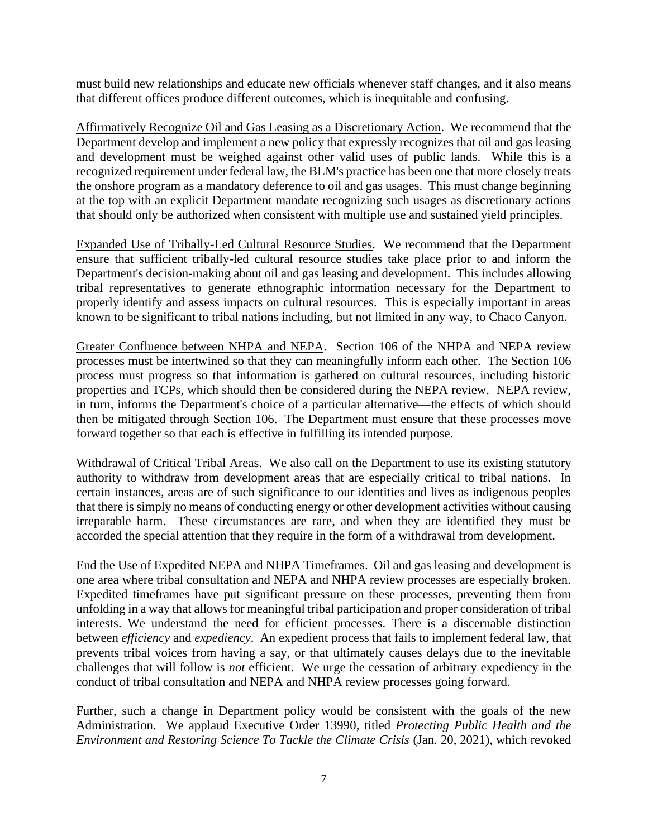must build new relationships and educate new officials whenever staff changes, and it also means that different offices produce different outcomes, which is inequitable and confusing.

Affirmatively Recognize Oil and Gas Leasing as a Discretionary Action. We recommend that the Department develop and implement a new policy that expressly recognizes that oil and gas leasing and development must be weighed against other valid uses of public lands. While this is a recognized requirement under federal law, the BLM's practice has been one that more closely treats the onshore program as a mandatory deference to oil and gas usages. This must change beginning at the top with an explicit Department mandate recognizing such usages as discretionary actions that should only be authorized when consistent with multiple use and sustained yield principles.

Expanded Use of Tribally-Led Cultural Resource Studies. We recommend that the Department ensure that sufficient tribally-led cultural resource studies take place prior to and inform the Department's decision-making about oil and gas leasing and development. This includes allowing tribal representatives to generate ethnographic information necessary for the Department to properly identify and assess impacts on cultural resources. This is especially important in areas known to be significant to tribal nations including, but not limited in any way, to Chaco Canyon.

Greater Confluence between NHPA and NEPA. Section 106 of the NHPA and NEPA review processes must be intertwined so that they can meaningfully inform each other. The Section 106 process must progress so that information is gathered on cultural resources, including historic properties and TCPs, which should then be considered during the NEPA review. NEPA review, in turn, informs the Department's choice of a particular alternative—the effects of which should then be mitigated through Section 106. The Department must ensure that these processes move forward together so that each is effective in fulfilling its intended purpose.

Withdrawal of Critical Tribal Areas. We also call on the Department to use its existing statutory authority to withdraw from development areas that are especially critical to tribal nations. In certain instances, areas are of such significance to our identities and lives as indigenous peoples that there is simply no means of conducting energy or other development activities without causing irreparable harm. These circumstances are rare, and when they are identified they must be accorded the special attention that they require in the form of a withdrawal from development.

End the Use of Expedited NEPA and NHPA Timeframes. Oil and gas leasing and development is one area where tribal consultation and NEPA and NHPA review processes are especially broken. Expedited timeframes have put significant pressure on these processes, preventing them from unfolding in a way that allows for meaningful tribal participation and proper consideration of tribal interests. We understand the need for efficient processes. There is a discernable distinction between *efficiency* and *expediency*. An expedient process that fails to implement federal law, that prevents tribal voices from having a say, or that ultimately causes delays due to the inevitable challenges that will follow is *not* efficient. We urge the cessation of arbitrary expediency in the conduct of tribal consultation and NEPA and NHPA review processes going forward.

Further, such a change in Department policy would be consistent with the goals of the new Administration. We applaud Executive Order 13990, titled *Protecting Public Health and the Environment and Restoring Science To Tackle the Climate Crisis (Jan. 20, 2021), which revoked*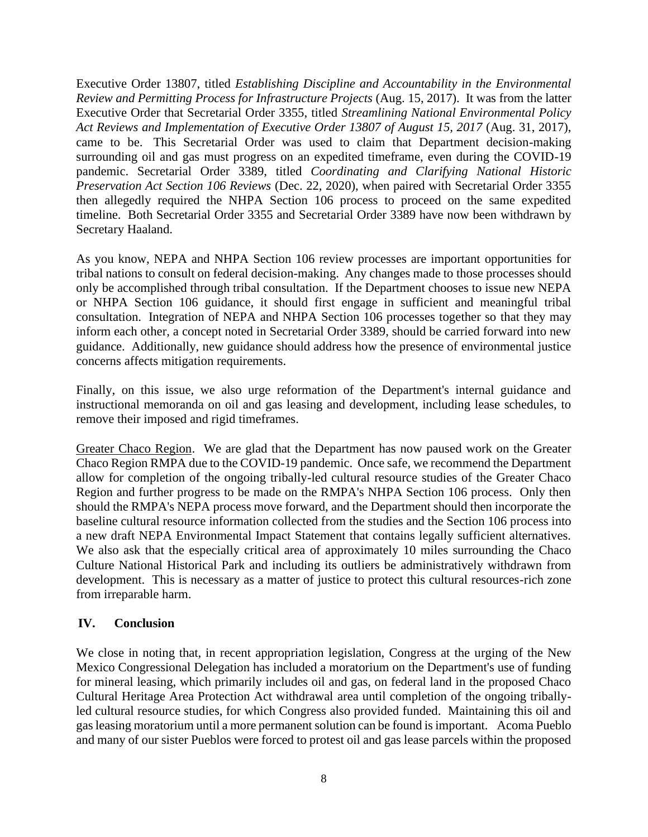Executive Order 13807, titled *Establishing Discipline and Accountability in the Environmental Review and Permitting Process for Infrastructure Projects* (Aug. 15, 2017). It was from the latter Executive Order that Secretarial Order 3355, titled *Streamlining National Environmental Policy Act Reviews and Implementation of Executive Order 13807 of August 15, 2017* (Aug. 31, 2017), came to be. This Secretarial Order was used to claim that Department decision-making surrounding oil and gas must progress on an expedited timeframe, even during the COVID-19 pandemic. Secretarial Order 3389, titled *Coordinating and Clarifying National Historic Preservation Act Section 106 Reviews* (Dec. 22, 2020), when paired with Secretarial Order 3355 then allegedly required the NHPA Section 106 process to proceed on the same expedited timeline. Both Secretarial Order 3355 and Secretarial Order 3389 have now been withdrawn by Secretary Haaland.

As you know, NEPA and NHPA Section 106 review processes are important opportunities for tribal nations to consult on federal decision-making. Any changes made to those processes should only be accomplished through tribal consultation. If the Department chooses to issue new NEPA or NHPA Section 106 guidance, it should first engage in sufficient and meaningful tribal consultation. Integration of NEPA and NHPA Section 106 processes together so that they may inform each other, a concept noted in Secretarial Order 3389, should be carried forward into new guidance. Additionally, new guidance should address how the presence of environmental justice concerns affects mitigation requirements.

Finally, on this issue, we also urge reformation of the Department's internal guidance and instructional memoranda on oil and gas leasing and development, including lease schedules, to remove their imposed and rigid timeframes.

Greater Chaco Region. We are glad that the Department has now paused work on the Greater Chaco Region RMPA due to the COVID-19 pandemic. Once safe, we recommend the Department allow for completion of the ongoing tribally-led cultural resource studies of the Greater Chaco Region and further progress to be made on the RMPA's NHPA Section 106 process. Only then should the RMPA's NEPA process move forward, and the Department should then incorporate the baseline cultural resource information collected from the studies and the Section 106 process into a new draft NEPA Environmental Impact Statement that contains legally sufficient alternatives. We also ask that the especially critical area of approximately 10 miles surrounding the Chaco Culture National Historical Park and including its outliers be administratively withdrawn from development. This is necessary as a matter of justice to protect this cultural resources-rich zone from irreparable harm.

#### **IV. Conclusion**

We close in noting that, in recent appropriation legislation, Congress at the urging of the New Mexico Congressional Delegation has included a moratorium on the Department's use of funding for mineral leasing, which primarily includes oil and gas, on federal land in the proposed Chaco Cultural Heritage Area Protection Act withdrawal area until completion of the ongoing triballyled cultural resource studies, for which Congress also provided funded. Maintaining this oil and gas leasing moratorium until a more permanent solution can be found is important. Acoma Pueblo and many of our sister Pueblos were forced to protest oil and gas lease parcels within the proposed